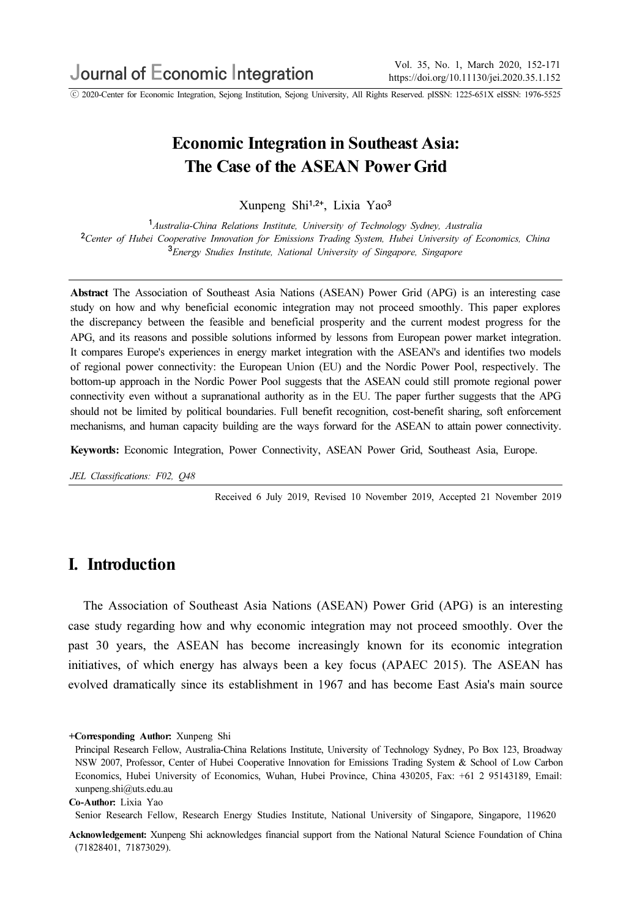ⓒ 2020-Center for Economic Integration, Sejong Institution, Sejong University, All Rights Reserved. pISSN: 1225-651X eISSN: 1976-5525

# Economic Integration in Southeast Asia: The Case of the ASEAN Power Grid

Xunpeng Shi1,2+, Lixia Yao<sup>3</sup>

<sup>1</sup> Australia-China Relations Institute, University of Technology Sydney, Australia <sup>2</sup>Center of Hubei Cooperative Innovation for Emissions Trading System, Hubei University of Economics, China <sup>3</sup>Energy Studies Institute, National University of Singapore, Singapore

Abstract The Association of Southeast Asia Nations (ASEAN) Power Grid (APG) is an interesting case study on how and why beneficial economic integration may not proceed smoothly. This paper explores the discrepancy between the feasible and beneficial prosperity and the current modest progress for the APG, and its reasons and possible solutions informed by lessons from European power market integration. It compares Europe's experiences in energy market integration with the ASEAN's and identifies two models of regional power connectivity: the European Union (EU) and the Nordic Power Pool, respectively. The bottom-up approach in the Nordic Power Pool suggests that the ASEAN could still promote regional power connectivity even without a supranational authority as in the EU. The paper further suggests that the APG should not be limited by political boundaries. Full benefit recognition, cost-benefit sharing, soft enforcement mechanisms, and human capacity building are the ways forward for the ASEAN to attain power connectivity.

Keywords: Economic Integration, Power Connectivity, ASEAN Power Grid, Southeast Asia, Europe.

JEL Classifications: F02, Q48

Received 6 July 2019, Revised 10 November 2019, Accepted 21 November 2019

### I. Introduction

The Association of Southeast Asia Nations (ASEAN) Power Grid (APG) is an interesting case study regarding how and why economic integration may not proceed smoothly. Over the past 30 years, the ASEAN has become increasingly known for its economic integration initiatives, of which energy has always been a key focus (APAEC 2015). The ASEAN has evolved dramatically since its establishment in 1967 and has become East Asia's main source

+Corresponding Author: Xunpeng Shi

Senior Research Fellow, Research Energy Studies Institute, National University of Singapore, Singapore, 119620

Acknowledgement: Xunpeng Shi acknowledges financial support from the National Natural Science Foundation of China (71828401, 71873029).

Principal Research Fellow, Australia-China Relations Institute, University of Technology Sydney, Po Box 123, Broadway NSW 2007, Professor, Center of Hubei Cooperative Innovation for Emissions Trading System & School of Low Carbon Economics, Hubei University of Economics, Wuhan, Hubei Province, China 430205, Fax: +61 2 95143189, Email: xunpeng.shi@uts.edu.au

Co-Author: Lixia Yao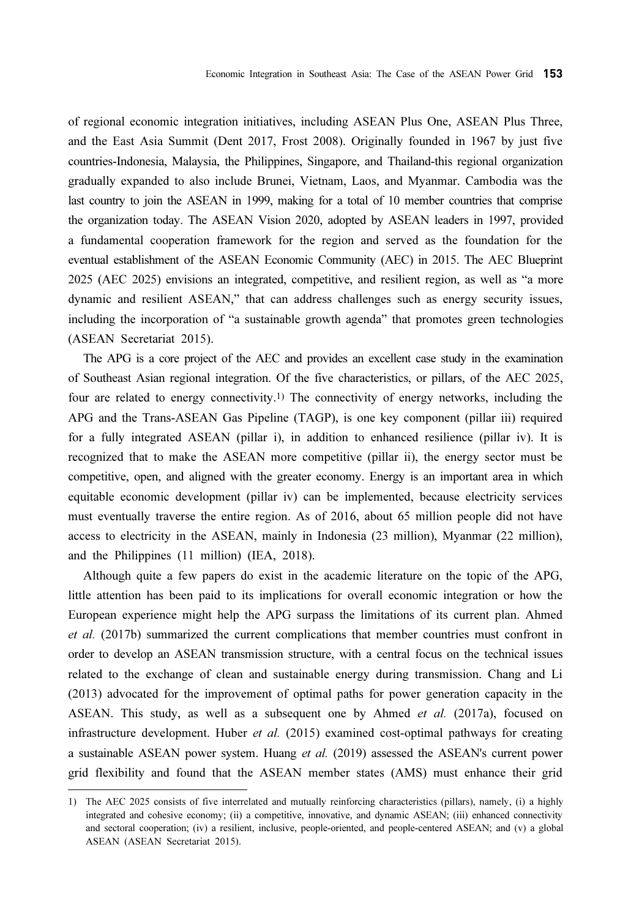of regional economic integration initiatives, including ASEAN Plus One, ASEAN Plus Three, and the East Asia Summit (Dent 2017, Frost 2008). Originally founded in 1967 by just five countries-Indonesia, Malaysia, the Philippines, Singapore, and Thailand-this regional organization gradually expanded to also include Brunei, Vietnam, Laos, and Myanmar. Cambodia was the last country to join the ASEAN in 1999, making for a total of 10 member countries that comprise the organization today. The ASEAN Vision 2020, adopted by ASEAN leaders in 1997, provided a fundamental cooperation framework for the region and served as the foundation for the eventual establishment of the ASEAN Economic Community (AEC) in 2015. The AEC Blueprint 2025 (AEC 2025) envisions an integrated, competitive, and resilient region, as well as "a more dynamic and resilient ASEAN," that can address challenges such as energy security issues, including the incorporation of "a sustainable growth agenda" that promotes green technologies (ASEAN Secretariat 2015).

The APG is a core project of the AEC and provides an excellent case study in the examination of Southeast Asian regional integration. Of the five characteristics, or pillars, of the AEC 2025, four are related to energy connectivity.1) The connectivity of energy networks, including the APG and the Trans-ASEAN Gas Pipeline (TAGP), is one key component (pillar iii) required for a fully integrated ASEAN (pillar i), in addition to enhanced resilience (pillar iv). It is recognized that to make the ASEAN more competitive (pillar ii), the energy sector must be competitive, open, and aligned with the greater economy. Energy is an important area in which equitable economic development (pillar iv) can be implemented, because electricity services must eventually traverse the entire region. As of 2016, about 65 million people did not have access to electricity in the ASEAN, mainly in Indonesia (23 million), Myanmar (22 million), and the Philippines (11 million) (IEA, 2018).

Although quite a few papers do exist in the academic literature on the topic of the APG, little attention has been paid to its implications for overall economic integration or how the European experience might help the APG surpass the limitations of its current plan. Ahmed et al. (2017b) summarized the current complications that member countries must confront in order to develop an ASEAN transmission structure, with a central focus on the technical issues related to the exchange of clean and sustainable energy during transmission. Chang and Li (2013) advocated for the improvement of optimal paths for power generation capacity in the ASEAN. This study, as well as a subsequent one by Ahmed et al. (2017a), focused on infrastructure development. Huber *et al.* (2015) examined cost-optimal pathways for creating a sustainable ASEAN power system. Huang et al. (2019) assessed the ASEAN's current power grid flexibility and found that the ASEAN member states (AMS) must enhance their grid

<sup>1)</sup> The AEC 2025 consists of five interrelated and mutually reinforcing characteristics (pillars), namely, (i) a highly integrated and cohesive economy; (ii) a competitive, innovative, and dynamic ASEAN; (iii) enhanced connectivity and sectoral cooperation; (iv) a resilient, inclusive, people-oriented, and people-centered ASEAN; and (v) a global ASEAN (ASEAN Secretariat 2015).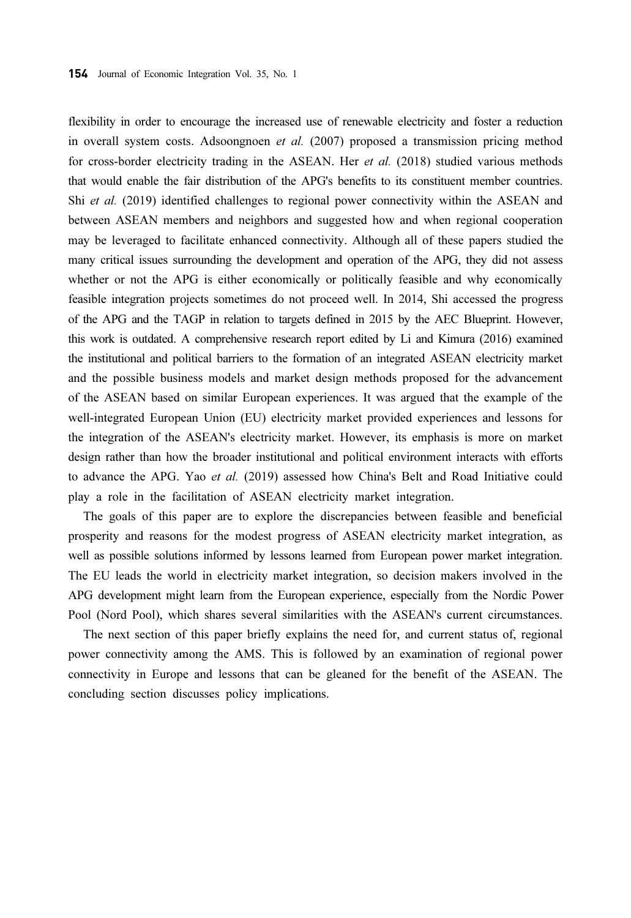flexibility in order to encourage the increased use of renewable electricity and foster a reduction in overall system costs. Adsoongnoen et al. (2007) proposed a transmission pricing method for cross-border electricity trading in the ASEAN. Her *et al.* (2018) studied various methods that would enable the fair distribution of the APG's benefits to its constituent member countries. Shi et al. (2019) identified challenges to regional power connectivity within the ASEAN and between ASEAN members and neighbors and suggested how and when regional cooperation may be leveraged to facilitate enhanced connectivity. Although all of these papers studied the many critical issues surrounding the development and operation of the APG, they did not assess whether or not the APG is either economically or politically feasible and why economically feasible integration projects sometimes do not proceed well. In 2014, Shi accessed the progress of the APG and the TAGP in relation to targets defined in 2015 by the AEC Blueprint. However, this work is outdated. A comprehensive research report edited by Li and Kimura (2016) examined the institutional and political barriers to the formation of an integrated ASEAN electricity market and the possible business models and market design methods proposed for the advancement of the ASEAN based on similar European experiences. It was argued that the example of the well-integrated European Union (EU) electricity market provided experiences and lessons for the integration of the ASEAN's electricity market. However, its emphasis is more on market design rather than how the broader institutional and political environment interacts with efforts to advance the APG. Yao et al. (2019) assessed how China's Belt and Road Initiative could play a role in the facilitation of ASEAN electricity market integration.

The goals of this paper are to explore the discrepancies between feasible and beneficial prosperity and reasons for the modest progress of ASEAN electricity market integration, as well as possible solutions informed by lessons learned from European power market integration. The EU leads the world in electricity market integration, so decision makers involved in the APG development might learn from the European experience, especially from the Nordic Power Pool (Nord Pool), which shares several similarities with the ASEAN's current circumstances.

The next section of this paper briefly explains the need for, and current status of, regional power connectivity among the AMS. This is followed by an examination of regional power connectivity in Europe and lessons that can be gleaned for the benefit of the ASEAN. The concluding section discusses policy implications.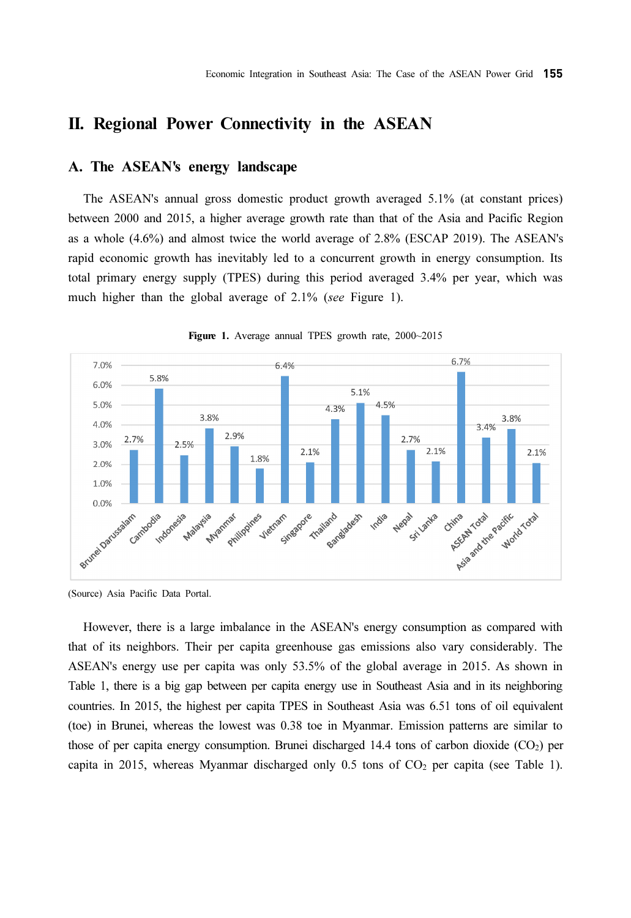## II. Regional Power Connectivity in the ASEAN

#### A. The ASEAN's energy landscape

The ASEAN's annual gross domestic product growth averaged 5.1% (at constant prices) between 2000 and 2015, a higher average growth rate than that of the Asia and Pacific Region as a whole (4.6%) and almost twice the world average of 2.8% (ESCAP 2019). The ASEAN's rapid economic growth has inevitably led to a concurrent growth in energy consumption. Its total primary energy supply (TPES) during this period averaged 3.4% per year, which was much higher than the global average of 2.1% (see Figure 1).



Figure 1. Average annual TPES growth rate, 2000~2015

(Source) Asia Pacific Data Portal.

However, there is a large imbalance in the ASEAN's energy consumption as compared with that of its neighbors. Their per capita greenhouse gas emissions also vary considerably. The ASEAN's energy use per capita was only 53.5% of the global average in 2015. As shown in Table 1, there is a big gap between per capita energy use in Southeast Asia and in its neighboring countries. In 2015, the highest per capita TPES in Southeast Asia was 6.51 tons of oil equivalent (toe) in Brunei, whereas the lowest was 0.38 toe in Myanmar. Emission patterns are similar to those of per capita energy consumption. Brunei discharged 14.4 tons of carbon dioxide  $(CO<sub>2</sub>)$  per capita in 2015, whereas Myanmar discharged only  $0.5$  tons of  $CO<sub>2</sub>$  per capita (see Table 1).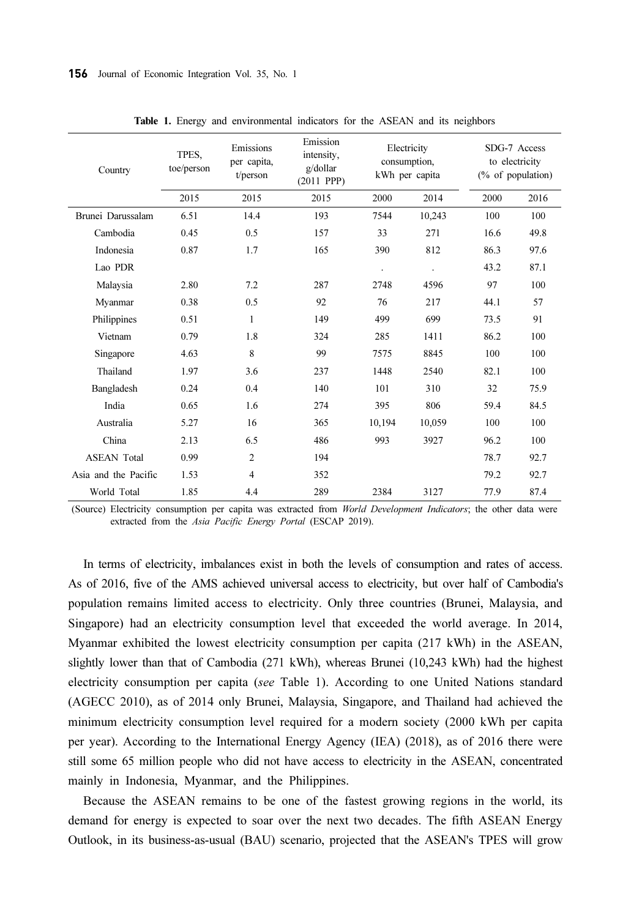| Country              | TPES,<br>toe/person | Emissions<br>per capita,<br>t/person | Emission<br>intensity.<br>g/dollar<br>$(2011$ PPP $)$ | Electricity<br>consumption,<br>kWh per capita |        | SDG-7 Access<br>to electricity<br>$(\%$ of population) |      |
|----------------------|---------------------|--------------------------------------|-------------------------------------------------------|-----------------------------------------------|--------|--------------------------------------------------------|------|
|                      | 2015                | 2015                                 | 2015                                                  | 2000                                          | 2014   | 2000                                                   | 2016 |
| Brunei Darussalam    | 6.51                | 14.4                                 | 193                                                   | 7544                                          | 10,243 | 100                                                    | 100  |
| Cambodia             | 0.45                | 0.5                                  | 157                                                   | 33                                            | 271    | 16.6                                                   | 49.8 |
| Indonesia            | 0.87                | 1.7                                  | 165                                                   | 390                                           | 812    | 86.3                                                   | 97.6 |
| Lao PDR              |                     |                                      |                                                       |                                               |        | 43.2                                                   | 87.1 |
| Malaysia             | 2.80                | 7.2                                  | 287                                                   | 2748                                          | 4596   | 97                                                     | 100  |
| Myanmar              | 0.38                | 0.5                                  | 92                                                    | 76                                            | 217    | 44.1                                                   | 57   |
| Philippines          | 0.51                | $\mathbf{1}$                         | 149                                                   | 499                                           | 699    | 73.5                                                   | 91   |
| Vietnam              | 0.79                | 1.8                                  | 324                                                   | 285                                           | 1411   | 86.2                                                   | 100  |
| Singapore            | 4.63                | 8                                    | 99                                                    | 7575                                          | 8845   | 100                                                    | 100  |
| Thailand             | 1.97                | 3.6                                  | 237                                                   | 1448                                          | 2540   | 82.1                                                   | 100  |
| Bangladesh           | 0.24                | 0.4                                  | 140                                                   | 101                                           | 310    | 32                                                     | 75.9 |
| India                | 0.65                | 1.6                                  | 274                                                   | 395                                           | 806    | 59.4                                                   | 84.5 |
| Australia            | 5.27                | 16                                   | 365                                                   | 10,194                                        | 10.059 | 100                                                    | 100  |
| China                | 2.13                | 6.5                                  | 486                                                   | 993                                           | 3927   | 96.2                                                   | 100  |
| <b>ASEAN Total</b>   | 0.99                | $\overline{2}$                       | 194                                                   |                                               |        | 78.7                                                   | 92.7 |
| Asia and the Pacific | 1.53                | $\overline{4}$                       | 352                                                   |                                               |        | 79.2                                                   | 92.7 |
| World Total          | 1.85                | 4.4                                  | 289                                                   | 2384                                          | 3127   | 77.9                                                   | 87.4 |

Table 1. Energy and environmental indicators for the ASEAN and its neighbors

(Source) Electricity consumption per capita was extracted from World Development Indicators; the other data were extracted from the Asia Pacific Energy Portal (ESCAP 2019).

In terms of electricity, imbalances exist in both the levels of consumption and rates of access. As of 2016, five of the AMS achieved universal access to electricity, but over half of Cambodia's population remains limited access to electricity. Only three countries (Brunei, Malaysia, and Singapore) had an electricity consumption level that exceeded the world average. In 2014, Myanmar exhibited the lowest electricity consumption per capita (217 kWh) in the ASEAN, slightly lower than that of Cambodia (271 kWh), whereas Brunei (10,243 kWh) had the highest electricity consumption per capita (see Table 1). According to one United Nations standard (AGECC 2010), as of 2014 only Brunei, Malaysia, Singapore, and Thailand had achieved the minimum electricity consumption level required for a modern society (2000 kWh per capita per year). According to the International Energy Agency (IEA) (2018), as of 2016 there were still some 65 million people who did not have access to electricity in the ASEAN, concentrated mainly in Indonesia, Myanmar, and the Philippines.

Because the ASEAN remains to be one of the fastest growing regions in the world, its demand for energy is expected to soar over the next two decades. The fifth ASEAN Energy Outlook, in its business-as-usual (BAU) scenario, projected that the ASEAN's TPES will grow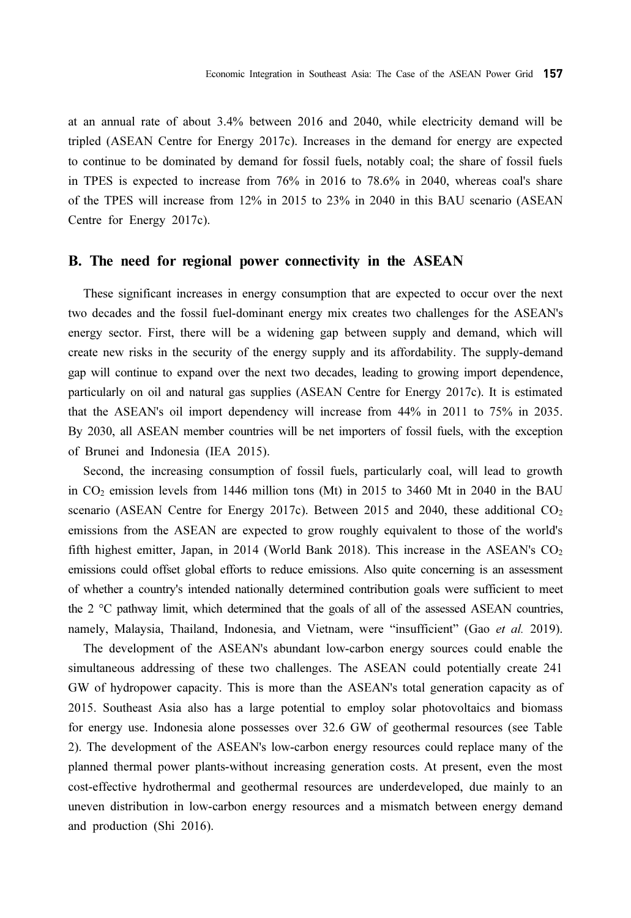at an annual rate of about 3.4% between 2016 and 2040, while electricity demand will be tripled (ASEAN Centre for Energy 2017c). Increases in the demand for energy are expected to continue to be dominated by demand for fossil fuels, notably coal; the share of fossil fuels in TPES is expected to increase from 76% in 2016 to 78.6% in 2040, whereas coal's share of the TPES will increase from 12% in 2015 to 23% in 2040 in this BAU scenario (ASEAN Centre for Energy 2017c).

#### B. The need for regional power connectivity in the ASEAN

These significant increases in energy consumption that are expected to occur over the next two decades and the fossil fuel-dominant energy mix creates two challenges for the ASEAN's energy sector. First, there will be a widening gap between supply and demand, which will create new risks in the security of the energy supply and its affordability. The supply-demand gap will continue to expand over the next two decades, leading to growing import dependence, particularly on oil and natural gas supplies (ASEAN Centre for Energy 2017c). It is estimated that the ASEAN's oil import dependency will increase from 44% in 2011 to 75% in 2035. By 2030, all ASEAN member countries will be net importers of fossil fuels, with the exception of Brunei and Indonesia (IEA 2015).

Second, the increasing consumption of fossil fuels, particularly coal, will lead to growth in CO2 emission levels from 1446 million tons (Mt) in 2015 to 3460 Mt in 2040 in the BAU scenario (ASEAN Centre for Energy 2017c). Between 2015 and 2040, these additional  $CO<sub>2</sub>$ emissions from the ASEAN are expected to grow roughly equivalent to those of the world's fifth highest emitter, Japan, in 2014 (World Bank 2018). This increase in the ASEAN's  $CO<sub>2</sub>$ emissions could offset global efforts to reduce emissions. Also quite concerning is an assessment of whether a country's intended nationally determined contribution goals were sufficient to meet the 2 °C pathway limit, which determined that the goals of all of the assessed ASEAN countries, namely, Malaysia, Thailand, Indonesia, and Vietnam, were "insufficient" (Gao et al. 2019).

The development of the ASEAN's abundant low-carbon energy sources could enable the simultaneous addressing of these two challenges. The ASEAN could potentially create 241 GW of hydropower capacity. This is more than the ASEAN's total generation capacity as of 2015. Southeast Asia also has a large potential to employ solar photovoltaics and biomass for energy use. Indonesia alone possesses over 32.6 GW of geothermal resources (see Table 2). The development of the ASEAN's low-carbon energy resources could replace many of the planned thermal power plants-without increasing generation costs. At present, even the most cost-effective hydrothermal and geothermal resources are underdeveloped, due mainly to an uneven distribution in low-carbon energy resources and a mismatch between energy demand and production (Shi 2016).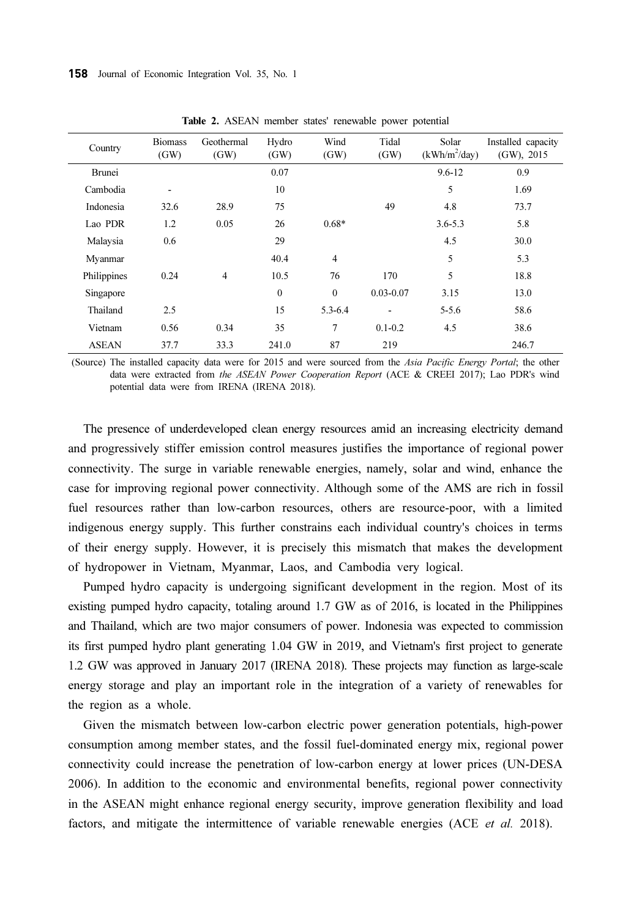| Country       | <b>Biomass</b><br>(GW) | Geothermal<br>(GW) | Hydro<br>(GW) | Wind<br>(GW)     | Tidal<br>(GW) | Solar<br>$(kWh/m^2/day)$ | Installed capacity<br>$(GW)$ , 2015 |  |
|---------------|------------------------|--------------------|---------------|------------------|---------------|--------------------------|-------------------------------------|--|
| <b>Brunei</b> |                        |                    | 0.07          |                  |               | $9.6 - 12$               | 0.9                                 |  |
| Cambodia      |                        |                    | 10            |                  |               | 5                        | 1.69                                |  |
| Indonesia     | 32.6                   | 28.9               | 75            |                  | 49            | 4.8                      | 73.7                                |  |
| Lao PDR       | 1.2                    | 0.05               | 26            | $0.68*$          |               | $3.6 - 5.3$              | 5.8                                 |  |
| Malaysia      | 0.6                    |                    | 29            |                  |               | 4.5                      | 30.0                                |  |
| Myanmar       |                        |                    | 40.4          | $\overline{4}$   |               | 5                        | 5.3                                 |  |
| Philippines   | 0.24                   | $\overline{4}$     | 10.5          | 76               | 170           | 5                        | 18.8                                |  |
| Singapore     |                        |                    | $\mathbf{0}$  | $\boldsymbol{0}$ | $0.03 - 0.07$ | 3.15                     | 13.0                                |  |
| Thailand      | 2.5                    |                    | 15            | 5.3-6.4          |               | $5 - 5.6$                | 58.6                                |  |
| Vietnam       | 0.56                   | 0.34               | 35            | 7                | $0.1 - 0.2$   | 4.5                      | 38.6                                |  |
| <b>ASEAN</b>  | 37.7                   | 33.3               | 241.0         | 87               | 219           |                          | 246.7                               |  |

Table 2. ASEAN member states' renewable power potential

(Source) The installed capacity data were for 2015 and were sourced from the Asia Pacific Energy Portal; the other data were extracted from the ASEAN Power Cooperation Report (ACE & CREEI 2017); Lao PDR's wind potential data were from IRENA (IRENA 2018).

The presence of underdeveloped clean energy resources amid an increasing electricity demand and progressively stiffer emission control measures justifies the importance of regional power connectivity. The surge in variable renewable energies, namely, solar and wind, enhance the case for improving regional power connectivity. Although some of the AMS are rich in fossil fuel resources rather than low-carbon resources, others are resource-poor, with a limited indigenous energy supply. This further constrains each individual country's choices in terms of their energy supply. However, it is precisely this mismatch that makes the development of hydropower in Vietnam, Myanmar, Laos, and Cambodia very logical.

Pumped hydro capacity is undergoing significant development in the region. Most of its existing pumped hydro capacity, totaling around 1.7 GW as of 2016, is located in the Philippines and Thailand, which are two major consumers of power. Indonesia was expected to commission its first pumped hydro plant generating 1.04 GW in 2019, and Vietnam's first project to generate 1.2 GW was approved in January 2017 (IRENA 2018). These projects may function as large-scale energy storage and play an important role in the integration of a variety of renewables for the region as a whole.

Given the mismatch between low-carbon electric power generation potentials, high-power consumption among member states, and the fossil fuel-dominated energy mix, regional power connectivity could increase the penetration of low-carbon energy at lower prices (UN-DESA 2006). In addition to the economic and environmental benefits, regional power connectivity in the ASEAN might enhance regional energy security, improve generation flexibility and load factors, and mitigate the intermittence of variable renewable energies (ACE et al. 2018).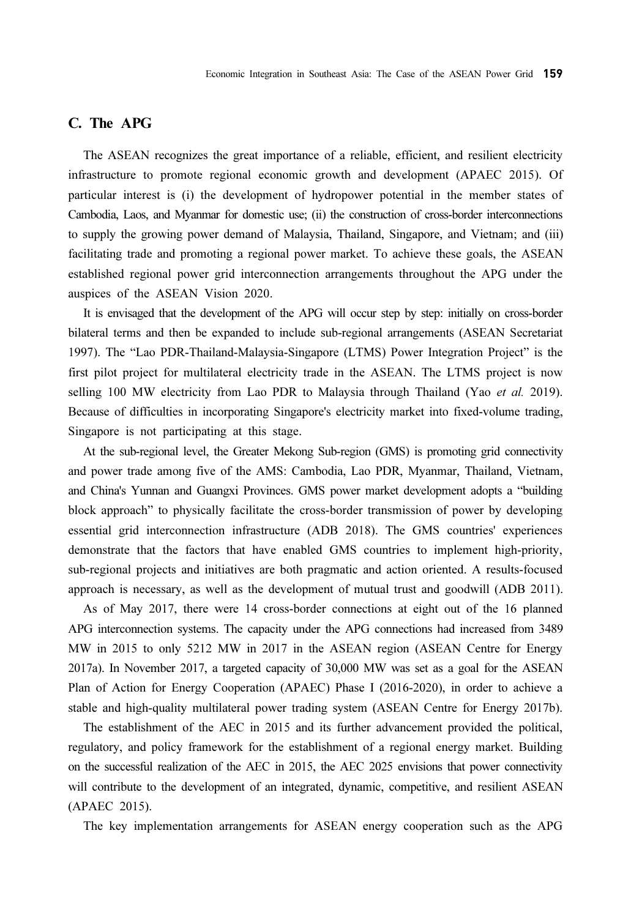### C. The APG

The ASEAN recognizes the great importance of a reliable, efficient, and resilient electricity infrastructure to promote regional economic growth and development (APAEC 2015). Of particular interest is (i) the development of hydropower potential in the member states of Cambodia, Laos, and Myanmar for domestic use; (ii) the construction of cross-border interconnections to supply the growing power demand of Malaysia, Thailand, Singapore, and Vietnam; and (iii) facilitating trade and promoting a regional power market. To achieve these goals, the ASEAN established regional power grid interconnection arrangements throughout the APG under the auspices of the ASEAN Vision 2020.

It is envisaged that the development of the APG will occur step by step: initially on cross-border bilateral terms and then be expanded to include sub-regional arrangements (ASEAN Secretariat 1997). The "Lao PDR-Thailand-Malaysia-Singapore (LTMS) Power Integration Project" is the first pilot project for multilateral electricity trade in the ASEAN. The LTMS project is now selling 100 MW electricity from Lao PDR to Malaysia through Thailand (Yao et al. 2019). Because of difficulties in incorporating Singapore's electricity market into fixed-volume trading, Singapore is not participating at this stage.

At the sub-regional level, the Greater Mekong Sub-region (GMS) is promoting grid connectivity and power trade among five of the AMS: Cambodia, Lao PDR, Myanmar, Thailand, Vietnam, and China's Yunnan and Guangxi Provinces. GMS power market development adopts a "building block approach" to physically facilitate the cross-border transmission of power by developing essential grid interconnection infrastructure (ADB 2018). The GMS countries' experiences demonstrate that the factors that have enabled GMS countries to implement high-priority, sub-regional projects and initiatives are both pragmatic and action oriented. A results-focused approach is necessary, as well as the development of mutual trust and goodwill (ADB 2011).

As of May 2017, there were 14 cross-border connections at eight out of the 16 planned APG interconnection systems. The capacity under the APG connections had increased from 3489 MW in 2015 to only 5212 MW in 2017 in the ASEAN region (ASEAN Centre for Energy 2017a). In November 2017, a targeted capacity of 30,000 MW was set as a goal for the ASEAN Plan of Action for Energy Cooperation (APAEC) Phase I (2016-2020), in order to achieve a stable and high-quality multilateral power trading system (ASEAN Centre for Energy 2017b).

The establishment of the AEC in 2015 and its further advancement provided the political, regulatory, and policy framework for the establishment of a regional energy market. Building on the successful realization of the AEC in 2015, the AEC 2025 envisions that power connectivity will contribute to the development of an integrated, dynamic, competitive, and resilient ASEAN (APAEC 2015).

The key implementation arrangements for ASEAN energy cooperation such as the APG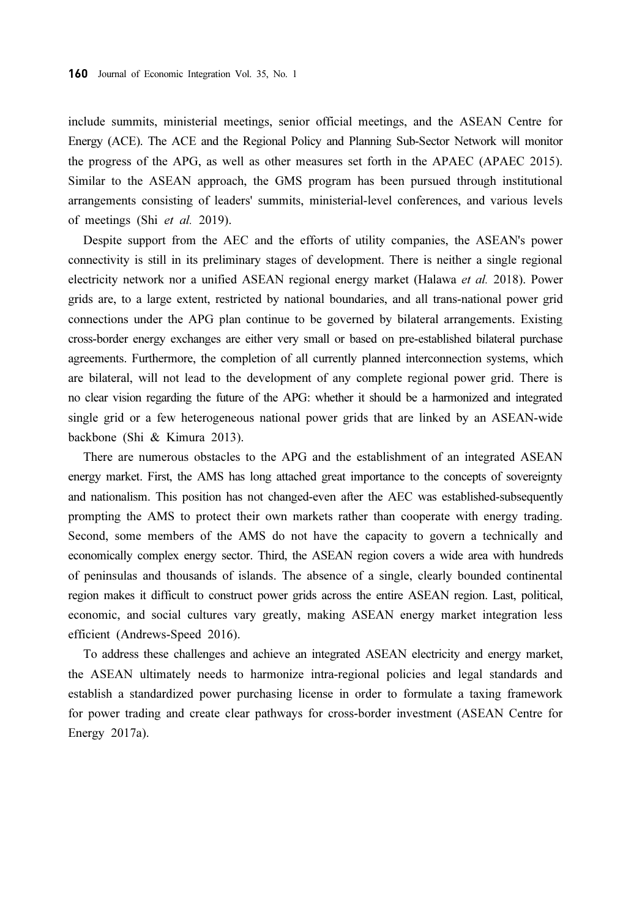include summits, ministerial meetings, senior official meetings, and the ASEAN Centre for Energy (ACE). The ACE and the Regional Policy and Planning Sub-Sector Network will monitor the progress of the APG, as well as other measures set forth in the APAEC (APAEC 2015). Similar to the ASEAN approach, the GMS program has been pursued through institutional arrangements consisting of leaders' summits, ministerial-level conferences, and various levels of meetings (Shi et al. 2019).

Despite support from the AEC and the efforts of utility companies, the ASEAN's power connectivity is still in its preliminary stages of development. There is neither a single regional electricity network nor a unified ASEAN regional energy market (Halawa et al. 2018). Power grids are, to a large extent, restricted by national boundaries, and all trans-national power grid connections under the APG plan continue to be governed by bilateral arrangements. Existing cross-border energy exchanges are either very small or based on pre-established bilateral purchase agreements. Furthermore, the completion of all currently planned interconnection systems, which are bilateral, will not lead to the development of any complete regional power grid. There is no clear vision regarding the future of the APG: whether it should be a harmonized and integrated single grid or a few heterogeneous national power grids that are linked by an ASEAN-wide backbone (Shi & Kimura 2013).

There are numerous obstacles to the APG and the establishment of an integrated ASEAN energy market. First, the AMS has long attached great importance to the concepts of sovereignty and nationalism. This position has not changed-even after the AEC was established-subsequently prompting the AMS to protect their own markets rather than cooperate with energy trading. Second, some members of the AMS do not have the capacity to govern a technically and economically complex energy sector. Third, the ASEAN region covers a wide area with hundreds of peninsulas and thousands of islands. The absence of a single, clearly bounded continental region makes it difficult to construct power grids across the entire ASEAN region. Last, political, economic, and social cultures vary greatly, making ASEAN energy market integration less efficient (Andrews-Speed 2016).

To address these challenges and achieve an integrated ASEAN electricity and energy market, the ASEAN ultimately needs to harmonize intra-regional policies and legal standards and establish a standardized power purchasing license in order to formulate a taxing framework for power trading and create clear pathways for cross-border investment (ASEAN Centre for Energy 2017a).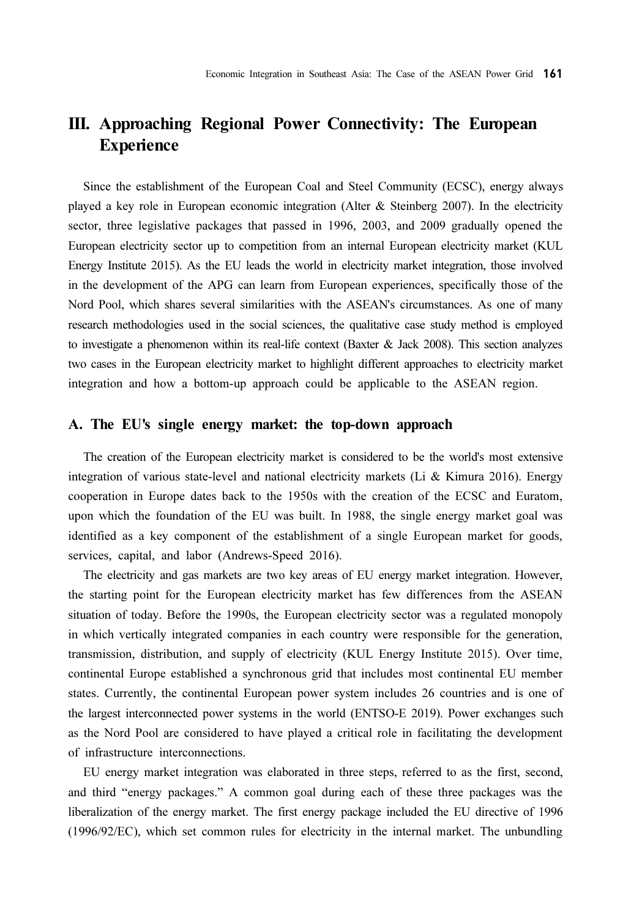# III. Approaching Regional Power Connectivity: The European Experience

Since the establishment of the European Coal and Steel Community (ECSC), energy always played a key role in European economic integration (Alter & Steinberg 2007). In the electricity sector, three legislative packages that passed in 1996, 2003, and 2009 gradually opened the European electricity sector up to competition from an internal European electricity market (KUL Energy Institute 2015). As the EU leads the world in electricity market integration, those involved in the development of the APG can learn from European experiences, specifically those of the Nord Pool, which shares several similarities with the ASEAN's circumstances. As one of many research methodologies used in the social sciences, the qualitative case study method is employed to investigate a phenomenon within its real-life context (Baxter & Jack 2008). This section analyzes two cases in the European electricity market to highlight different approaches to electricity market integration and how a bottom-up approach could be applicable to the ASEAN region.

#### A. The EU's single energy market: the top-down approach

The creation of the European electricity market is considered to be the world's most extensive integration of various state-level and national electricity markets (Li & Kimura 2016). Energy cooperation in Europe dates back to the 1950s with the creation of the ECSC and Euratom, upon which the foundation of the EU was built. In 1988, the single energy market goal was identified as a key component of the establishment of a single European market for goods, services, capital, and labor (Andrews-Speed 2016).

The electricity and gas markets are two key areas of EU energy market integration. However, the starting point for the European electricity market has few differences from the ASEAN situation of today. Before the 1990s, the European electricity sector was a regulated monopoly in which vertically integrated companies in each country were responsible for the generation, transmission, distribution, and supply of electricity (KUL Energy Institute 2015). Over time, continental Europe established a synchronous grid that includes most continental EU member states. Currently, the continental European power system includes 26 countries and is one of the largest interconnected power systems in the world (ENTSO-E 2019). Power exchanges such as the Nord Pool are considered to have played a critical role in facilitating the development of infrastructure interconnections.

EU energy market integration was elaborated in three steps, referred to as the first, second, and third "energy packages." A common goal during each of these three packages was the liberalization of the energy market. The first energy package included the EU directive of 1996 (1996/92/EC), which set common rules for electricity in the internal market. The unbundling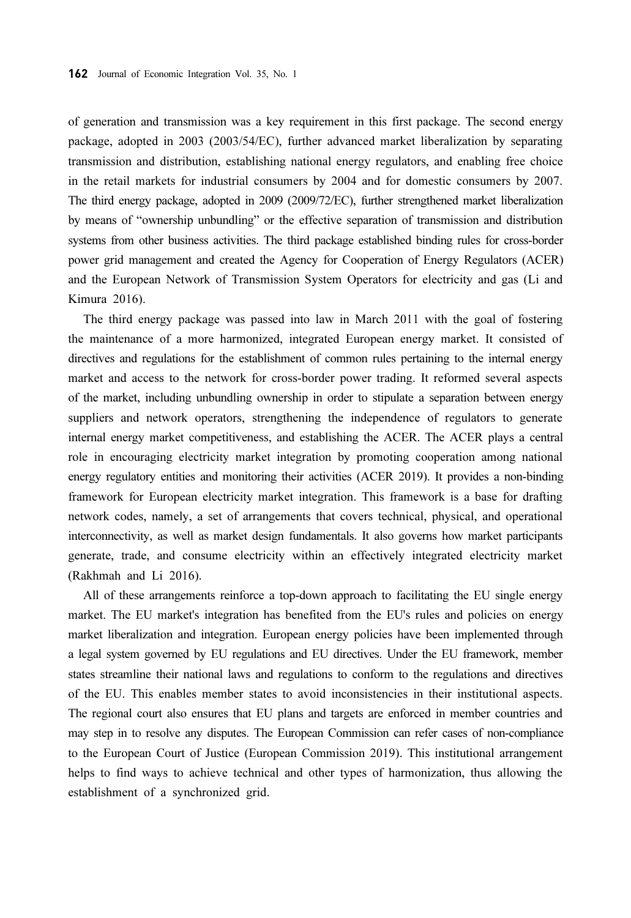of generation and transmission was a key requirement in this first package. The second energy package, adopted in 2003 (2003/54/EC), further advanced market liberalization by separating transmission and distribution, establishing national energy regulators, and enabling free choice in the retail markets for industrial consumers by 2004 and for domestic consumers by 2007. The third energy package, adopted in 2009 (2009/72/EC), further strengthened market liberalization by means of "ownership unbundling" or the effective separation of transmission and distribution systems from other business activities. The third package established binding rules for cross-border power grid management and created the Agency for Cooperation of Energy Regulators (ACER) and the European Network of Transmission System Operators for electricity and gas (Li and Kimura 2016).

The third energy package was passed into law in March 2011 with the goal of fostering the maintenance of a more harmonized, integrated European energy market. It consisted of directives and regulations for the establishment of common rules pertaining to the internal energy market and access to the network for cross-border power trading. It reformed several aspects of the market, including unbundling ownership in order to stipulate a separation between energy suppliers and network operators, strengthening the independence of regulators to generate internal energy market competitiveness, and establishing the ACER. The ACER plays a central role in encouraging electricity market integration by promoting cooperation among national energy regulatory entities and monitoring their activities (ACER 2019). It provides a non-binding framework for European electricity market integration. This framework is a base for drafting network codes, namely, a set of arrangements that covers technical, physical, and operational interconnectivity, as well as market design fundamentals. It also governs how market participants generate, trade, and consume electricity within an effectively integrated electricity market (Rakhmah and Li 2016).

All of these arrangements reinforce a top-down approach to facilitating the EU single energy market. The EU market's integration has benefited from the EU's rules and policies on energy market liberalization and integration. European energy policies have been implemented through a legal system governed by EU regulations and EU directives. Under the EU framework, member states streamline their national laws and regulations to conform to the regulations and directives of the EU. This enables member states to avoid inconsistencies in their institutional aspects. The regional court also ensures that EU plans and targets are enforced in member countries and may step in to resolve any disputes. The European Commission can refer cases of non-compliance to the European Court of Justice (European Commission 2019). This institutional arrangement helps to find ways to achieve technical and other types of harmonization, thus allowing the establishment of a synchronized grid.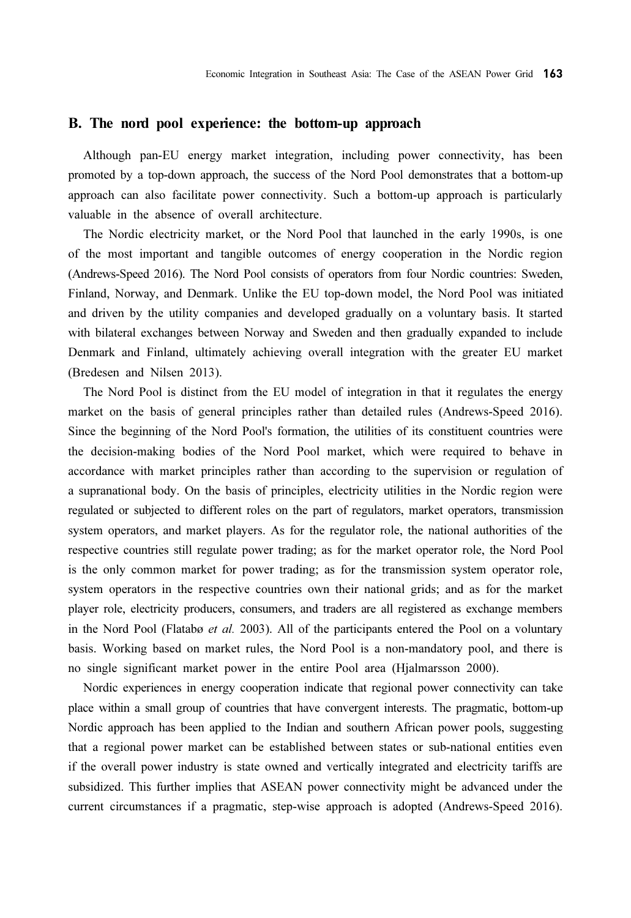#### B. The nord pool experience: the bottom-up approach

Although pan-EU energy market integration, including power connectivity, has been promoted by a top-down approach, the success of the Nord Pool demonstrates that a bottom-up approach can also facilitate power connectivity. Such a bottom-up approach is particularly valuable in the absence of overall architecture.

The Nordic electricity market, or the Nord Pool that launched in the early 1990s, is one of the most important and tangible outcomes of energy cooperation in the Nordic region (Andrews-Speed 2016). The Nord Pool consists of operators from four Nordic countries: Sweden, Finland, Norway, and Denmark. Unlike the EU top-down model, the Nord Pool was initiated and driven by the utility companies and developed gradually on a voluntary basis. It started with bilateral exchanges between Norway and Sweden and then gradually expanded to include Denmark and Finland, ultimately achieving overall integration with the greater EU market (Bredesen and Nilsen 2013).

The Nord Pool is distinct from the EU model of integration in that it regulates the energy market on the basis of general principles rather than detailed rules (Andrews-Speed 2016). Since the beginning of the Nord Pool's formation, the utilities of its constituent countries were the decision-making bodies of the Nord Pool market, which were required to behave in accordance with market principles rather than according to the supervision or regulation of a supranational body. On the basis of principles, electricity utilities in the Nordic region were regulated or subjected to different roles on the part of regulators, market operators, transmission system operators, and market players. As for the regulator role, the national authorities of the respective countries still regulate power trading; as for the market operator role, the Nord Pool is the only common market for power trading; as for the transmission system operator role, system operators in the respective countries own their national grids; and as for the market player role, electricity producers, consumers, and traders are all registered as exchange members in the Nord Pool (Flatabø et al. 2003). All of the participants entered the Pool on a voluntary basis. Working based on market rules, the Nord Pool is a non-mandatory pool, and there is no single significant market power in the entire Pool area (Hjalmarsson 2000).

Nordic experiences in energy cooperation indicate that regional power connectivity can take place within a small group of countries that have convergent interests. The pragmatic, bottom-up Nordic approach has been applied to the Indian and southern African power pools, suggesting that a regional power market can be established between states or sub-national entities even if the overall power industry is state owned and vertically integrated and electricity tariffs are subsidized. This further implies that ASEAN power connectivity might be advanced under the current circumstances if a pragmatic, step-wise approach is adopted (Andrews-Speed 2016).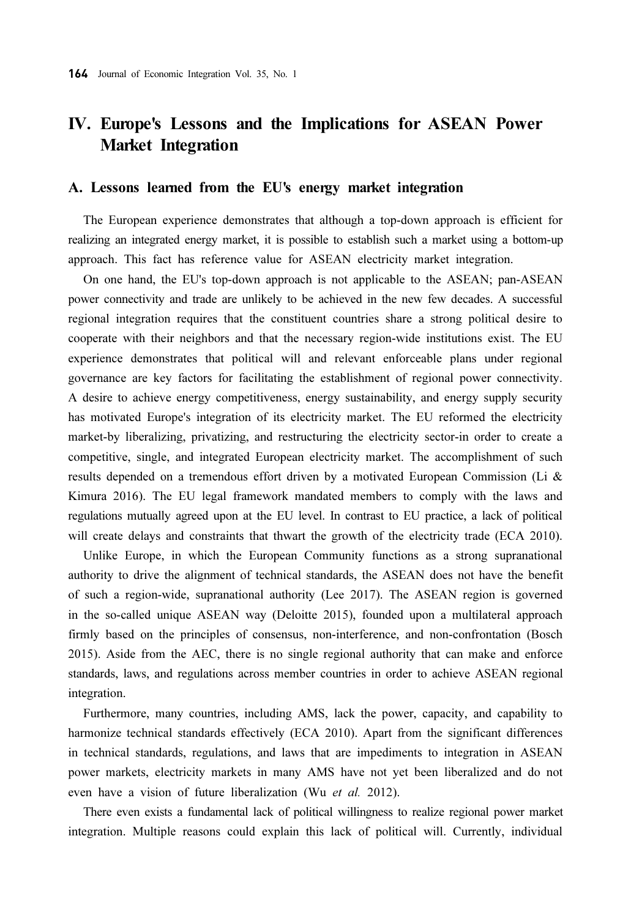## IV. Europe's Lessons and the Implications for ASEAN Power Market Integration

#### A. Lessons learned from the EU's energy market integration

The European experience demonstrates that although a top-down approach is efficient for realizing an integrated energy market, it is possible to establish such a market using a bottom-up approach. This fact has reference value for ASEAN electricity market integration.

On one hand, the EU's top-down approach is not applicable to the ASEAN; pan-ASEAN power connectivity and trade are unlikely to be achieved in the new few decades. A successful regional integration requires that the constituent countries share a strong political desire to cooperate with their neighbors and that the necessary region-wide institutions exist. The EU experience demonstrates that political will and relevant enforceable plans under regional governance are key factors for facilitating the establishment of regional power connectivity. A desire to achieve energy competitiveness, energy sustainability, and energy supply security has motivated Europe's integration of its electricity market. The EU reformed the electricity market-by liberalizing, privatizing, and restructuring the electricity sector-in order to create a competitive, single, and integrated European electricity market. The accomplishment of such results depended on a tremendous effort driven by a motivated European Commission (Li & Kimura 2016). The EU legal framework mandated members to comply with the laws and regulations mutually agreed upon at the EU level. In contrast to EU practice, a lack of political will create delays and constraints that thwart the growth of the electricity trade (ECA 2010).

Unlike Europe, in which the European Community functions as a strong supranational authority to drive the alignment of technical standards, the ASEAN does not have the benefit of such a region-wide, supranational authority (Lee 2017). The ASEAN region is governed in the so-called unique ASEAN way (Deloitte 2015), founded upon a multilateral approach firmly based on the principles of consensus, non-interference, and non-confrontation (Bosch 2015). Aside from the AEC, there is no single regional authority that can make and enforce standards, laws, and regulations across member countries in order to achieve ASEAN regional integration.

Furthermore, many countries, including AMS, lack the power, capacity, and capability to harmonize technical standards effectively (ECA 2010). Apart from the significant differences in technical standards, regulations, and laws that are impediments to integration in ASEAN power markets, electricity markets in many AMS have not yet been liberalized and do not even have a vision of future liberalization (Wu et al. 2012).

There even exists a fundamental lack of political willingness to realize regional power market integration. Multiple reasons could explain this lack of political will. Currently, individual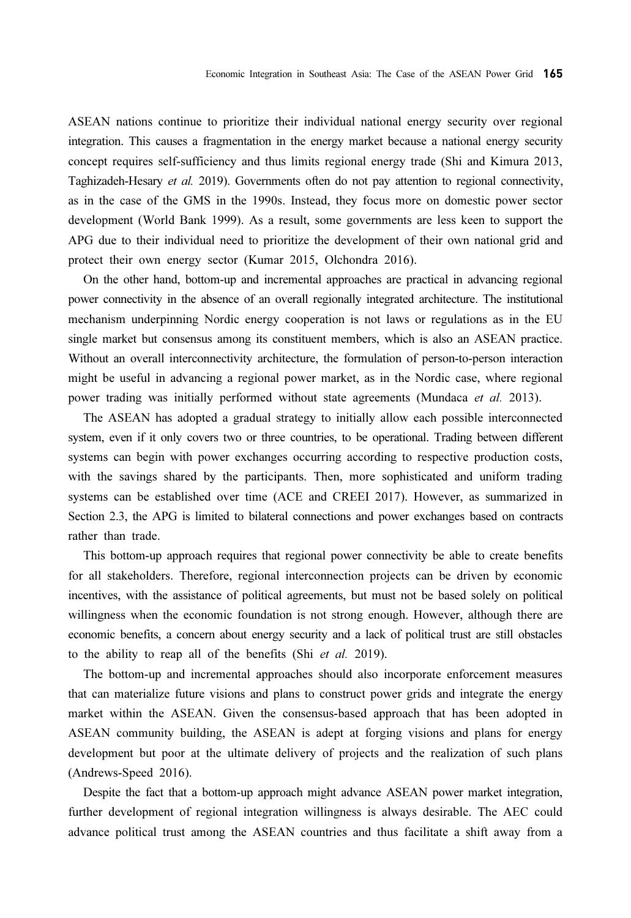ASEAN nations continue to prioritize their individual national energy security over regional integration. This causes a fragmentation in the energy market because a national energy security concept requires self-sufficiency and thus limits regional energy trade (Shi and Kimura 2013, Taghizadeh-Hesary et al. 2019). Governments often do not pay attention to regional connectivity, as in the case of the GMS in the 1990s. Instead, they focus more on domestic power sector development (World Bank 1999). As a result, some governments are less keen to support the APG due to their individual need to prioritize the development of their own national grid and protect their own energy sector (Kumar 2015, Olchondra 2016).

On the other hand, bottom-up and incremental approaches are practical in advancing regional power connectivity in the absence of an overall regionally integrated architecture. The institutional mechanism underpinning Nordic energy cooperation is not laws or regulations as in the EU single market but consensus among its constituent members, which is also an ASEAN practice. Without an overall interconnectivity architecture, the formulation of person-to-person interaction might be useful in advancing a regional power market, as in the Nordic case, where regional power trading was initially performed without state agreements (Mundaca et al. 2013).

The ASEAN has adopted a gradual strategy to initially allow each possible interconnected system, even if it only covers two or three countries, to be operational. Trading between different systems can begin with power exchanges occurring according to respective production costs, with the savings shared by the participants. Then, more sophisticated and uniform trading systems can be established over time (ACE and CREEI 2017). However, as summarized in Section 2.3, the APG is limited to bilateral connections and power exchanges based on contracts rather than trade.

This bottom-up approach requires that regional power connectivity be able to create benefits for all stakeholders. Therefore, regional interconnection projects can be driven by economic incentives, with the assistance of political agreements, but must not be based solely on political willingness when the economic foundation is not strong enough. However, although there are economic benefits, a concern about energy security and a lack of political trust are still obstacles to the ability to reap all of the benefits (Shi et al. 2019).

The bottom-up and incremental approaches should also incorporate enforcement measures that can materialize future visions and plans to construct power grids and integrate the energy market within the ASEAN. Given the consensus-based approach that has been adopted in ASEAN community building, the ASEAN is adept at forging visions and plans for energy development but poor at the ultimate delivery of projects and the realization of such plans (Andrews-Speed 2016).

Despite the fact that a bottom-up approach might advance ASEAN power market integration, further development of regional integration willingness is always desirable. The AEC could advance political trust among the ASEAN countries and thus facilitate a shift away from a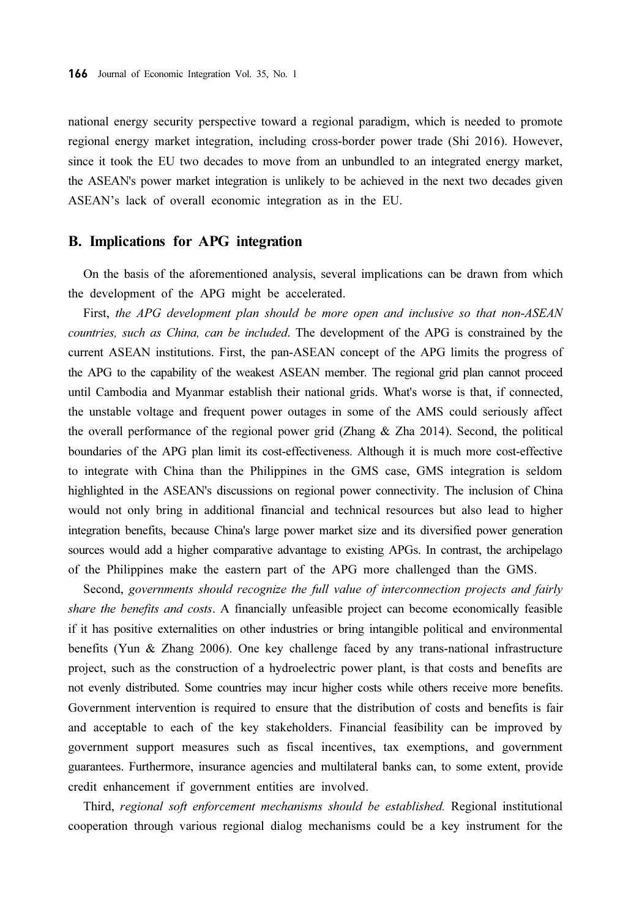national energy security perspective toward a regional paradigm, which is needed to promote regional energy market integration, including cross-border power trade (Shi 2016). However, since it took the EU two decades to move from an unbundled to an integrated energy market, the ASEAN's power market integration is unlikely to be achieved in the next two decades given ASEAN's lack of overall economic integration as in the EU.

#### B. Implications for APG integration

On the basis of the aforementioned analysis, several implications can be drawn from which the development of the APG might be accelerated.

First, the APG development plan should be more open and inclusive so that non-ASEAN countries, such as China, can be included. The development of the APG is constrained by the current ASEAN institutions. First, the pan-ASEAN concept of the APG limits the progress of the APG to the capability of the weakest ASEAN member. The regional grid plan cannot proceed until Cambodia and Myanmar establish their national grids. What's worse is that, if connected, the unstable voltage and frequent power outages in some of the AMS could seriously affect the overall performance of the regional power grid (Zhang & Zha 2014). Second, the political boundaries of the APG plan limit its cost-effectiveness. Although it is much more cost-effective to integrate with China than the Philippines in the GMS case, GMS integration is seldom highlighted in the ASEAN's discussions on regional power connectivity. The inclusion of China would not only bring in additional financial and technical resources but also lead to higher integration benefits, because China's large power market size and its diversified power generation sources would add a higher comparative advantage to existing APGs. In contrast, the archipelago of the Philippines make the eastern part of the APG more challenged than the GMS.

Second, governments should recognize the full value of interconnection projects and fairly share the benefits and costs. A financially unfeasible project can become economically feasible if it has positive externalities on other industries or bring intangible political and environmental benefits (Yun & Zhang 2006). One key challenge faced by any trans-national infrastructure project, such as the construction of a hydroelectric power plant, is that costs and benefits are not evenly distributed. Some countries may incur higher costs while others receive more benefits. Government intervention is required to ensure that the distribution of costs and benefits is fair and acceptable to each of the key stakeholders. Financial feasibility can be improved by government support measures such as fiscal incentives, tax exemptions, and government guarantees. Furthermore, insurance agencies and multilateral banks can, to some extent, provide credit enhancement if government entities are involved.

Third, regional soft enforcement mechanisms should be established. Regional institutional cooperation through various regional dialog mechanisms could be a key instrument for the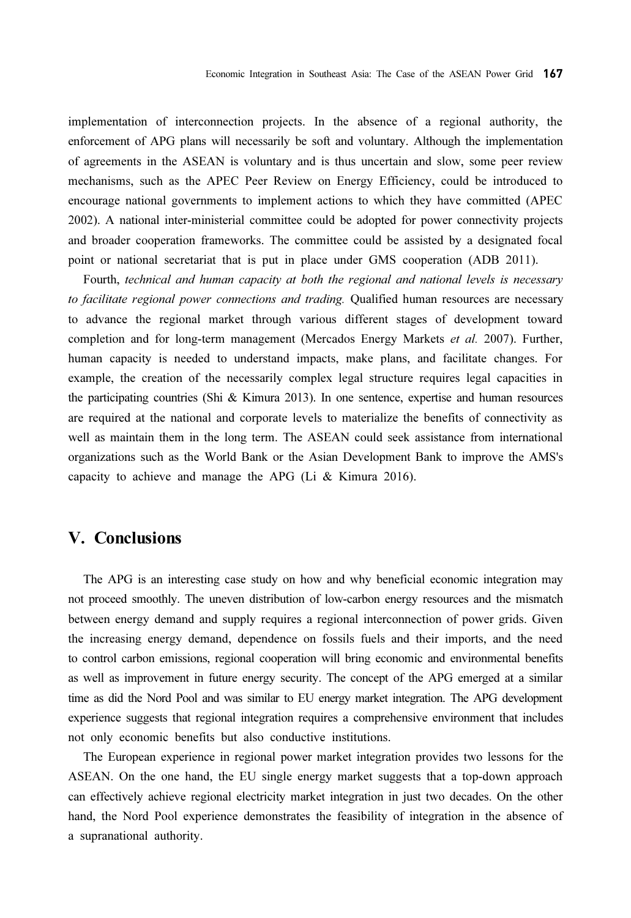implementation of interconnection projects. In the absence of a regional authority, the enforcement of APG plans will necessarily be soft and voluntary. Although the implementation of agreements in the ASEAN is voluntary and is thus uncertain and slow, some peer review mechanisms, such as the APEC Peer Review on Energy Efficiency, could be introduced to encourage national governments to implement actions to which they have committed (APEC 2002). A national inter-ministerial committee could be adopted for power connectivity projects and broader cooperation frameworks. The committee could be assisted by a designated focal point or national secretariat that is put in place under GMS cooperation (ADB 2011).

Fourth, technical and human capacity at both the regional and national levels is necessary to facilitate regional power connections and trading. Qualified human resources are necessary to advance the regional market through various different stages of development toward completion and for long-term management (Mercados Energy Markets et al. 2007). Further, human capacity is needed to understand impacts, make plans, and facilitate changes. For example, the creation of the necessarily complex legal structure requires legal capacities in the participating countries (Shi & Kimura 2013). In one sentence, expertise and human resources are required at the national and corporate levels to materialize the benefits of connectivity as well as maintain them in the long term. The ASEAN could seek assistance from international organizations such as the World Bank or the Asian Development Bank to improve the AMS's capacity to achieve and manage the APG (Li & Kimura 2016).

### V. Conclusions

The APG is an interesting case study on how and why beneficial economic integration may not proceed smoothly. The uneven distribution of low-carbon energy resources and the mismatch between energy demand and supply requires a regional interconnection of power grids. Given the increasing energy demand, dependence on fossils fuels and their imports, and the need to control carbon emissions, regional cooperation will bring economic and environmental benefits as well as improvement in future energy security. The concept of the APG emerged at a similar time as did the Nord Pool and was similar to EU energy market integration. The APG development experience suggests that regional integration requires a comprehensive environment that includes not only economic benefits but also conductive institutions.

The European experience in regional power market integration provides two lessons for the ASEAN. On the one hand, the EU single energy market suggests that a top-down approach can effectively achieve regional electricity market integration in just two decades. On the other hand, the Nord Pool experience demonstrates the feasibility of integration in the absence of a supranational authority.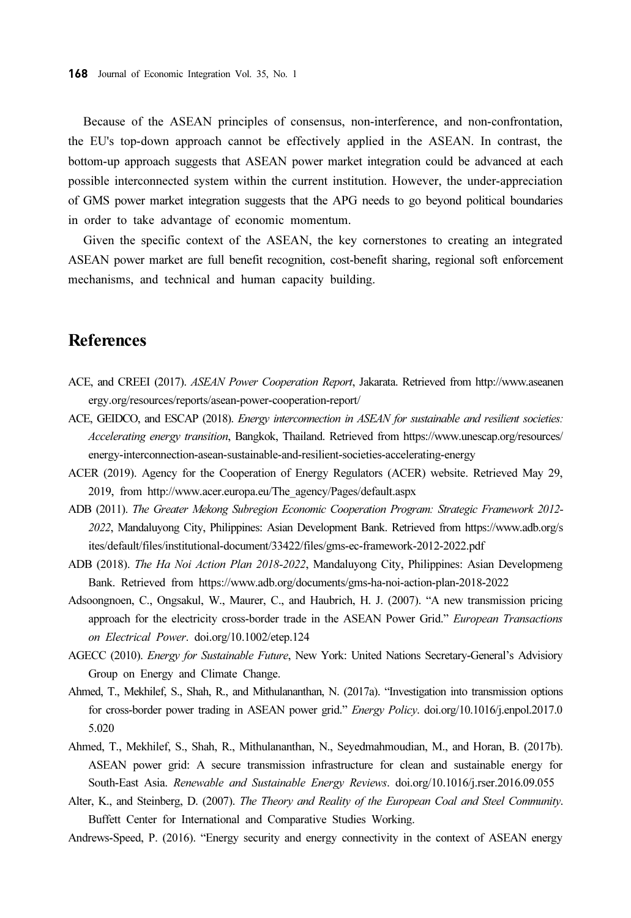Because of the ASEAN principles of consensus, non-interference, and non-confrontation, the EU's top-down approach cannot be effectively applied in the ASEAN. In contrast, the bottom-up approach suggests that ASEAN power market integration could be advanced at each possible interconnected system within the current institution. However, the under-appreciation of GMS power market integration suggests that the APG needs to go beyond political boundaries in order to take advantage of economic momentum.

Given the specific context of the ASEAN, the key cornerstones to creating an integrated ASEAN power market are full benefit recognition, cost-benefit sharing, regional soft enforcement mechanisms, and technical and human capacity building.

## References

- ACE, and CREEI (2017). ASEAN Power Cooperation Report, Jakarata. Retrieved from http://www.aseanen ergy.org/resources/reports/asean-power-cooperation-report/
- ACE, GEIDCO, and ESCAP (2018). Energy interconnection in ASEAN for sustainable and resilient societies: Accelerating energy transition, Bangkok, Thailand. Retrieved from https://www.unescap.org/resources/ energy-interconnection-asean-sustainable-and-resilient-societies-accelerating-energy
- ACER (2019). Agency for the Cooperation of Energy Regulators (ACER) website. Retrieved May 29, 2019, from http://www.acer.europa.eu/The\_agency/Pages/default.aspx
- ADB (2011). The Greater Mekong Subregion Economic Cooperation Program: Strategic Framework 2012- 2022, Mandaluyong City, Philippines: Asian Development Bank. Retrieved from https://www.adb.org/s ites/default/files/institutional-document/33422/files/gms-ec-framework-2012-2022.pdf
- ADB (2018). The Ha Noi Action Plan 2018-2022, Mandaluyong City, Philippines: Asian Developmeng Bank. Retrieved from https://www.adb.org/documents/gms-ha-noi-action-plan-2018-2022
- Adsoongnoen, C., Ongsakul, W., Maurer, C., and Haubrich, H. J. (2007). "A new transmission pricing approach for the electricity cross-border trade in the ASEAN Power Grid." European Transactions on Electrical Power. doi.org/10.1002/etep.124
- AGECC (2010). Energy for Sustainable Future, New York: United Nations Secretary-General's Advisiory Group on Energy and Climate Change.
- Ahmed, T., Mekhilef, S., Shah, R., and Mithulananthan, N. (2017a). "Investigation into transmission options for cross-border power trading in ASEAN power grid." Energy Policy. doi.org/10.1016/j.enpol.2017.0 5.020
- Ahmed, T., Mekhilef, S., Shah, R., Mithulananthan, N., Seyedmahmoudian, M., and Horan, B. (2017b). ASEAN power grid: A secure transmission infrastructure for clean and sustainable energy for South-East Asia. Renewable and Sustainable Energy Reviews. doi.org/10.1016/j.rser.2016.09.055
- Alter, K., and Steinberg, D. (2007). The Theory and Reality of the European Coal and Steel Community. Buffett Center for International and Comparative Studies Working.

Andrews-Speed, P. (2016). "Energy security and energy connectivity in the context of ASEAN energy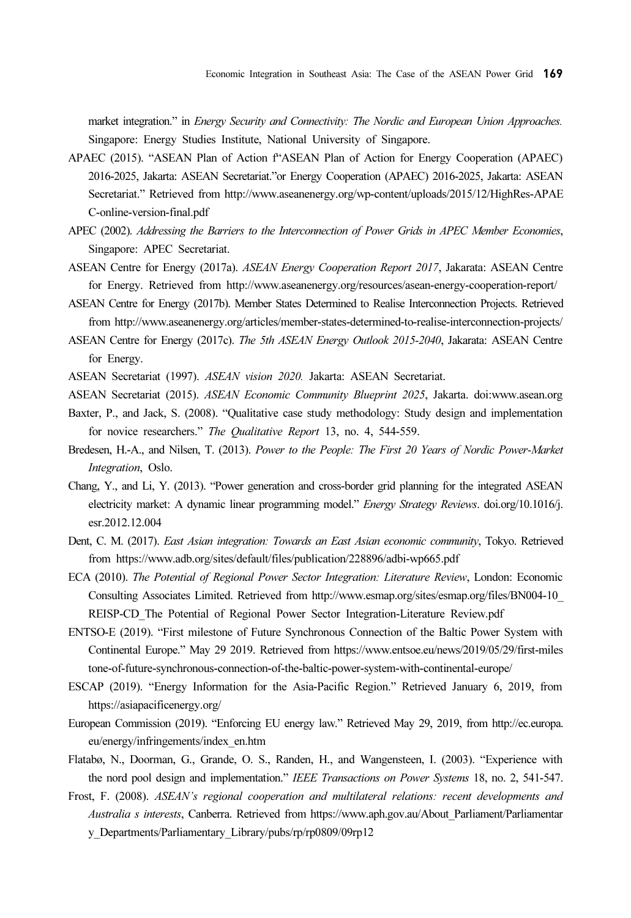market integration." in Energy Security and Connectivity: The Nordic and European Union Approaches. Singapore: Energy Studies Institute, National University of Singapore.

- APAEC (2015). "ASEAN Plan of Action f"ASEAN Plan of Action for Energy Cooperation (APAEC) 2016-2025, Jakarta: ASEAN Secretariat."or Energy Cooperation (APAEC) 2016-2025, Jakarta: ASEAN Secretariat." Retrieved from http://www.aseanenergy.org/wp-content/uploads/2015/12/HighRes-APAE C-online-version-final.pdf
- APEC (2002). Addressing the Barriers to the Interconnection of Power Grids in APEC Member Economies, Singapore: APEC Secretariat.
- ASEAN Centre for Energy (2017a). ASEAN Energy Cooperation Report 2017, Jakarata: ASEAN Centre for Energy. Retrieved from http://www.aseanenergy.org/resources/asean-energy-cooperation-report/
- ASEAN Centre for Energy (2017b). Member States Determined to Realise Interconnection Projects. Retrieved from http://www.aseanenergy.org/articles/member-states-determined-to-realise-interconnection-projects/
- ASEAN Centre for Energy (2017c). The 5th ASEAN Energy Outlook 2015-2040, Jakarata: ASEAN Centre for Energy.
- ASEAN Secretariat (1997). ASEAN vision 2020. Jakarta: ASEAN Secretariat.

ASEAN Secretariat (2015). ASEAN Economic Community Blueprint 2025, Jakarta. doi:www.asean.org

- Baxter, P., and Jack, S. (2008). "Qualitative case study methodology: Study design and implementation for novice researchers." The Qualitative Report 13, no. 4, 544-559.
- Bredesen, H.-A., and Nilsen, T. (2013). Power to the People: The First 20 Years of Nordic Power-Market Integration, Oslo.
- Chang, Y., and Li, Y. (2013). "Power generation and cross-border grid planning for the integrated ASEAN electricity market: A dynamic linear programming model." Energy Strategy Reviews. doi.org/10.1016/j. esr.2012.12.004
- Dent, C. M. (2017). East Asian integration: Towards an East Asian economic community, Tokyo. Retrieved from https://www.adb.org/sites/default/files/publication/228896/adbi-wp665.pdf
- ECA (2010). The Potential of Regional Power Sector Integration: Literature Review, London: Economic Consulting Associates Limited. Retrieved from http://www.esmap.org/sites/esmap.org/files/BN004-10\_ REISP-CD\_The Potential of Regional Power Sector Integration-Literature Review.pdf
- ENTSO-E (2019). "First milestone of Future Synchronous Connection of the Baltic Power System with Continental Europe." May 29 2019. Retrieved from https://www.entsoe.eu/news/2019/05/29/first-miles tone-of-future-synchronous-connection-of-the-baltic-power-system-with-continental-europe/
- ESCAP (2019). "Energy Information for the Asia-Pacific Region." Retrieved January 6, 2019, from https://asiapacificenergy.org/
- European Commission (2019). "Enforcing EU energy law." Retrieved May 29, 2019, from http://ec.europa. eu/energy/infringements/index\_en.htm
- Flatabø, N., Doorman, G., Grande, O. S., Randen, H., and Wangensteen, I. (2003). "Experience with the nord pool design and implementation." IEEE Transactions on Power Systems 18, no. 2, 541-547.
- Frost, F. (2008). ASEAN's regional cooperation and multilateral relations: recent developments and Australia s interests, Canberra. Retrieved from https://www.aph.gov.au/About\_Parliament/Parliamentar y\_Departments/Parliamentary\_Library/pubs/rp/rp0809/09rp12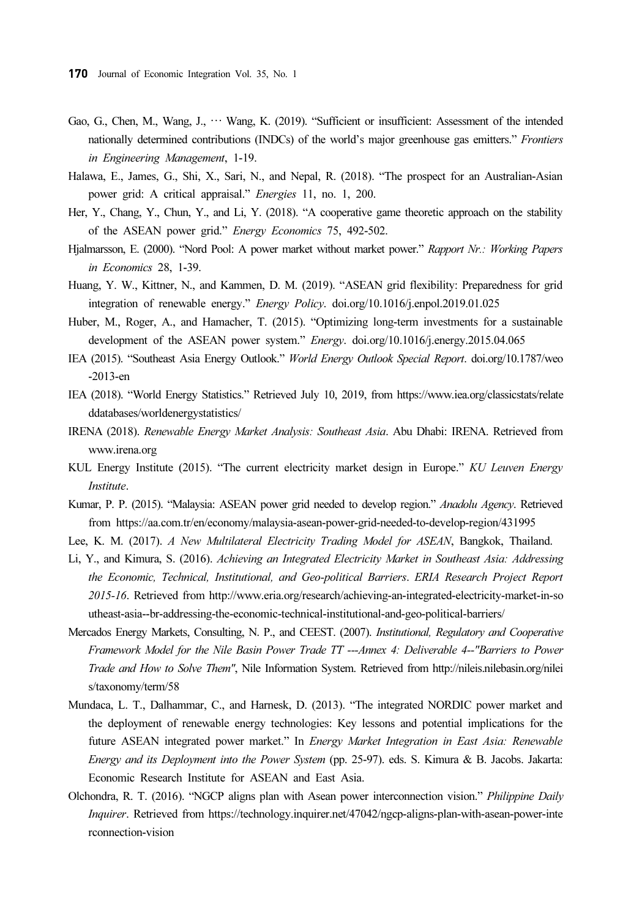- Gao, G., Chen, M., Wang, J., … Wang, K. (2019). "Sufficient or insufficient: Assessment of the intended nationally determined contributions (INDCs) of the world's major greenhouse gas emitters." Frontiers in Engineering Management, 1-19.
- Halawa, E., James, G., Shi, X., Sari, N., and Nepal, R. (2018). "The prospect for an Australian-Asian power grid: A critical appraisal." Energies 11, no. 1, 200.
- Her, Y., Chang, Y., Chun, Y., and Li, Y. (2018). "A cooperative game theoretic approach on the stability of the ASEAN power grid." Energy Economics 75, 492-502.
- Hjalmarsson, E. (2000). "Nord Pool: A power market without market power." Rapport Nr.: Working Papers in Economics 28, 1-39.
- Huang, Y. W., Kittner, N., and Kammen, D. M. (2019). "ASEAN grid flexibility: Preparedness for grid integration of renewable energy." Energy Policy. doi.org/10.1016/j.enpol.2019.01.025
- Huber, M., Roger, A., and Hamacher, T. (2015). "Optimizing long-term investments for a sustainable development of the ASEAN power system." Energy. doi.org/10.1016/j.energy.2015.04.065
- IEA (2015). "Southeast Asia Energy Outlook." World Energy Outlook Special Report. doi.org/10.1787/weo -2013-en
- IEA (2018). "World Energy Statistics." Retrieved July 10, 2019, from https://www.iea.org/classicstats/relate ddatabases/worldenergystatistics/
- IRENA (2018). Renewable Energy Market Analysis: Southeast Asia. Abu Dhabi: IRENA. Retrieved from www.irena.org
- KUL Energy Institute (2015). "The current electricity market design in Europe." KU Leuven Energy Institute.
- Kumar, P. P. (2015). "Malaysia: ASEAN power grid needed to develop region." Anadolu Agency. Retrieved from https://aa.com.tr/en/economy/malaysia-asean-power-grid-needed-to-develop-region/431995
- Lee, K. M. (2017). A New Multilateral Electricity Trading Model for ASEAN, Bangkok, Thailand.
- Li, Y., and Kimura, S. (2016). Achieving an Integrated Electricity Market in Southeast Asia: Addressing the Economic, Technical, Institutional, and Geo-political Barriers. ERIA Research Project Report 2015-16. Retrieved from http://www.eria.org/research/achieving-an-integrated-electricity-market-in-so utheast-asia--br-addressing-the-economic-technical-institutional-and-geo-political-barriers/
- Mercados Energy Markets, Consulting, N. P., and CEEST. (2007). Institutional, Regulatory and Cooperative Framework Model for the Nile Basin Power Trade TT ---Annex 4: Deliverable 4--"Barriers to Power Trade and How to Solve Them", Nile Information System. Retrieved from http://nileis.nilebasin.org/nilei s/taxonomy/term/58
- Mundaca, L. T., Dalhammar, C., and Harnesk, D. (2013). "The integrated NORDIC power market and the deployment of renewable energy technologies: Key lessons and potential implications for the future ASEAN integrated power market." In Energy Market Integration in East Asia: Renewable Energy and its Deployment into the Power System (pp. 25-97). eds. S. Kimura & B. Jacobs. Jakarta: Economic Research Institute for ASEAN and East Asia.
- Olchondra, R. T. (2016). "NGCP aligns plan with Asean power interconnection vision." Philippine Daily Inquirer. Retrieved from https://technology.inquirer.net/47042/ngcp-aligns-plan-with-asean-power-inte rconnection-vision